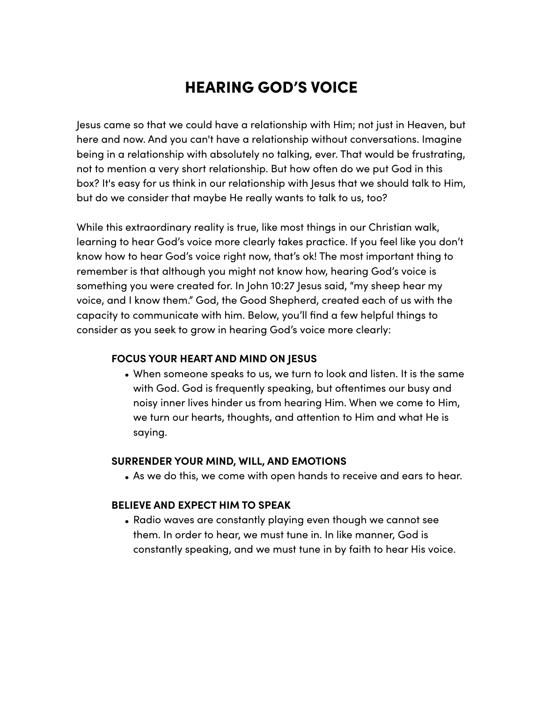# HEARING GOD'S VOICE

Jesus came so that we could have a relationship with Him; not just in Heaven, but here and now. And you can't have a relationship without conversations. Imagine being in a relationship with absolutely no talking, ever. That would be frustrating, not to mention a very short relationship. But how often do we put God in this box? It's easy for us think in our relationship with Jesus that we should talk to Him, but do we consider that maybe He really wants to talk to us, too?

While this extraordinary reality is true, like most things in our Christian walk, learning to hear God's voice more clearly takes practice. If you feel like you don't know how to hear God's voice right now, that's ok! The most important thing to remember is that although you might not know how, hearing God's voice is something you were created for. In John 10:27 Jesus said, "my sheep hear my voice, and I know them." God, the Good Shepherd, created each of us with the capacity to communicate with him. Below, you'll find a few helpful things to consider as you seek to grow in hearing God's voice more clearly:

#### **FOCUS YOUR HEART AND MIND ON JESUS**

• When someone speaks to us, we turn to look and listen. It is the same with God. God is frequently speaking, but oftentimes our busy and noisy inner lives hinder us from hearing Him. When we come to Him, we turn our hearts, thoughts, and attention to Him and what He is saying.

#### **SURRENDER YOUR MIND, WILL, AND EMOTIONS**

• As we do this, we come with open hands to receive and ears to hear.

#### **BELIEVE AND EXPECT HIM TO SPEAK**

• Radio waves are constantly playing even though we cannot see them. In order to hear, we must tune in. In like manner, God is constantly speaking, and we must tune in by faith to hear His voice.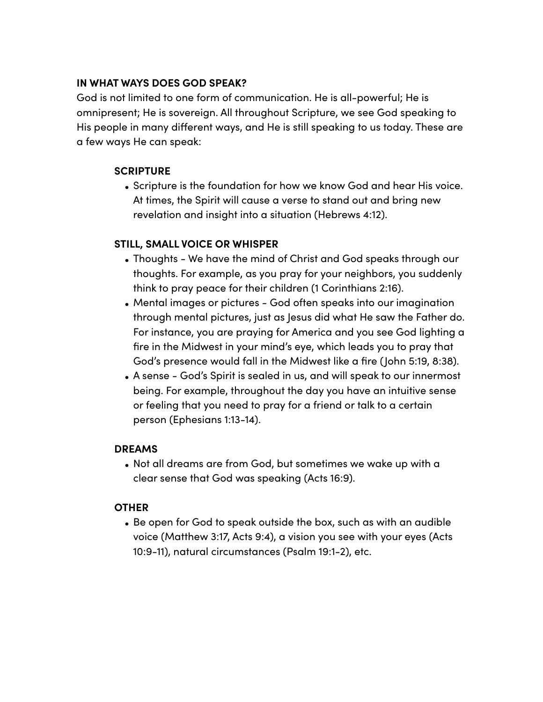# **IN WHAT WAYS DOES GOD SPEAK?**

God is not limited to one form of communication. He is all-powerful; He is omnipresent; He is sovereign. All throughout Scripture, we see God speaking to His people in many diferent ways, and He is still speaking to us today. These are a few ways He can speak:

#### **SCRIPTURE**

• Scripture is the foundation for how we know God and hear His voice. At times, the Spirit will cause a verse to stand out and bring new revelation and insight into a situation (Hebrews 4:12).

# **STILL, SMALL VOICE OR WHISPER**

- Thoughts We have the mind of Christ and God speaks through our thoughts. For example, as you pray for your neighbors, you suddenly think to pray peace for their children (1 Corinthians 2:16).
- Mental images or pictures God often speaks into our imagination through mental pictures, just as Jesus did what He saw the Father do. For instance, you are praying for America and you see God lighting a fire in the Midwest in your mind's eye, which leads you to pray that God's presence would fall in the Midwest like a fire (John 5:19, 8:38).
- A sense God's Spirit is sealed in us, and will speak to our innermost being. For example, throughout the day you have an intuitive sense or feeling that you need to pray for a friend or talk to a certain person (Ephesians 1:13-14).

#### **DREAMS**

• Not all dreams are from God, but sometimes we wake up with a clear sense that God was speaking (Acts 16:9).

# **OTHER**

• Be open for God to speak outside the box, such as with an audible voice (Matthew 3:17, Acts 9:4), a vision you see with your eyes (Acts 10:9-11), natural circumstances (Psalm 19:1-2), etc.